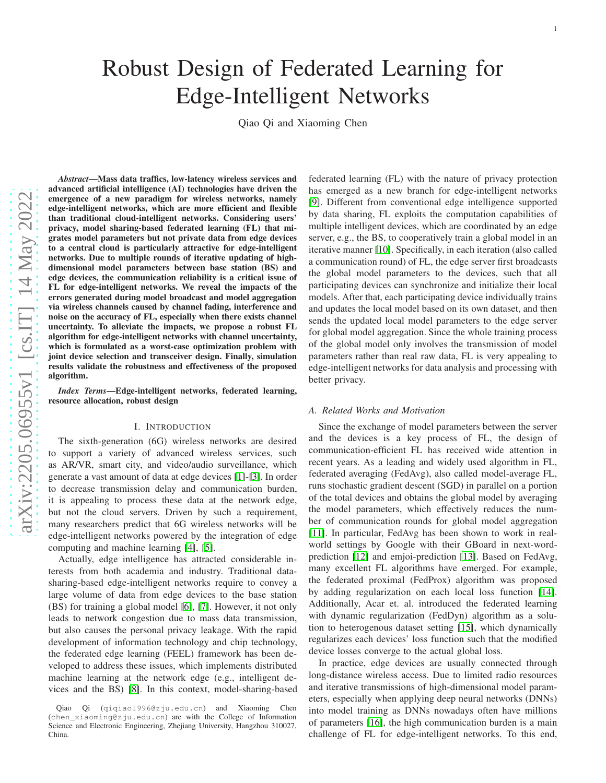# *Abstract*—Mass data traffics, low-latency wireless services and advanced artificial intelligence (AI) technologies have driven the emergence of a new paradigm for wireless networks, namely edge-intelligent networks, which are more efficient and flexible than traditional cloud-intelligent networks. Considering users' privacy, model sharing-based federated learning (FL) that migrates model parameters but not private data from edge devices to a central cloud is particularly attractive for edge-intelligent networks. Due to multiple rounds of iterative updating of highdimensional model parameters between base station (BS) and edge devices, the communication reliability is a critical issue of FL for edge-intelligent networks. We reveal the impacts of the errors generated during model broadcast and model aggregation via wireless channels caused by channel fading, interference and noise on the accuracy of FL, especially when there exists channel uncertainty. To alleviate the impacts, we propose a robust F L algorithm for edge-intelligent networks with channel uncertainty, which is formulated as a worst-case optimization problem with joint device selection and transceiver design. Finally, simulation results validate the robustness and effectiveness of the proposed algorithm.

*Index Terms*—Edge-intelligent networks, federated learning, resource allocation, robust design

# I. INTRODUCTION

The sixth-generation (6G) wireless networks are desired to support a variety of advanced wireless services, such as AR/VR, smart city, and video/audio surveillance, which generate a vast amount of data at edge devices [\[1\]](#page-11-0)-[\[3\]](#page-11-1). In order to decrease transmission delay and communication burden, it is appealing to process these data at the network edge, but not the cloud servers. Driven by such a requirement, many researchers predict that 6G wireless networks will be edge-intelligent networks powered by the integration of edge computing and machine learning [\[4\]](#page-11-2), [\[5\]](#page-11-3).

Actually, edge intelligence has attracted considerable in terests from both academia and industry. Traditional datasharing-based edge-intelligent networks require to convey a large volume of data from edge devices to the base station (BS) for training a global model [\[6\]](#page-11-4), [\[7\]](#page-11-5). However, it not onl y leads to network congestion due to mass data transmission, but also causes the personal privacy leakage. With the rapid development of information technology and chip technology , the federated edge learning (FEEL) framework has been developed to address these issues, which implements distributed machine learning at the network edge (e.g., intelligent devices and the BS) [\[8\]](#page-11-6). In this context, model-sharing-based federated learning (FL) with the nature of privacy protection has emerged as a new branch for edge-intelligent networks [\[9\]](#page-11-7). Different from conventional edge intelligence supported by data sharing, FL exploits the computation capabilities o f multiple intelligent devices, which are coordinated by an edge server, e.g., the BS, to cooperatively train a global model in an iterative manner [\[10\]](#page-11-8). Specifically, in each iteration (also called a communication round) of FL, the edge server first broadcast s the global model parameters to the devices, such that all participating devices can synchronize and initialize their local models. After that, each participating device individually trains and updates the local model based on its own dataset, and then sends the updated local model parameters to the edge server for global model aggregation. Since the whole training process of the global model only involves the transmission of model parameters rather than real raw data, FL is very appealing to edge-intelligent networks for data analysis and processing with better privacy.

# *A. Related Works and Motivation*

Since the exchange of model parameters between the server and the devices is a key process of FL, the design of communication-efficient FL has received wide attention in recent years. As a leading and widely used algorithm in FL, federated averaging (FedAvg), also called model-average FL, runs stochastic gradient descent (SGD) in parallel on a portion of the total devices and obtains the global model by averagin g the model parameters, which effectively reduces the number of communication rounds for global model aggregation [\[11\]](#page-11-9). In particular, FedAvg has been shown to work in realworld settings by Google with their GBoard in next-wordprediction [\[12\]](#page-11-10) and emjoi-prediction [\[13\]](#page-11-11). Based on FedAvg, many excellent FL algorithms have emerged. For example, the federated proximal (FedProx) algorithm was proposed by adding regularization on each local loss function [\[14\]](#page-12-0). Additionally, Acar et. al. introduced the federated learning with dynamic regularization (FedDyn) algorithm as a solution to heterogenous dataset setting [\[15\]](#page-12-1), which dynamically regularizes each devices' loss function such that the modified device losses converge to the actual global loss.

In practice, edge devices are usually connected through long-distance wireless access. Due to limited radio resources and iterative transmissions of high-dimensional model parameters, especially when applying deep neural networks (DNNs) into model training as DNNs nowadays often have millions of parameters [\[16\]](#page-12-2), the high communication burden is a main challenge of FL for edge-intelligent networks. To this end,

# Robust Design of Federated Learning for Edge-Intelligent Networks

Qiao Qi and Xiaoming Chen

[arXiv:2205.06955v1 \[cs.IT\] 14 May 2022](http://arxiv.org/abs/2205.06955v1)

arXiv:2205.06955v1 [cs.IT] 14 May 2022

Qiao Qi (qiqiao1996@zju.edu.cn) and Xiaoming Chen (chen\_xiaoming@zju.edu.cn) are with the College of Information Science and Electronic Engineering, Zhejiang University, Hangzhou 310027, China.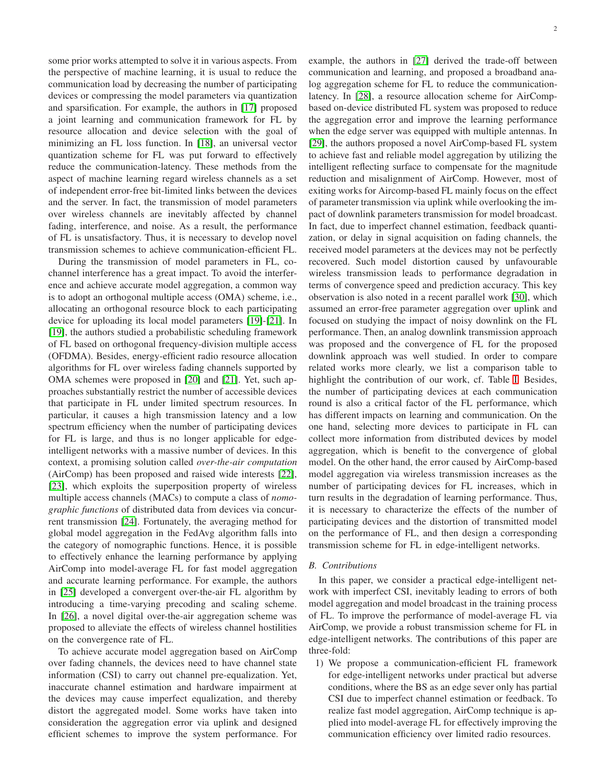some prior works attempted to solve it in various aspects. From the perspective of machine learning, it is usual to reduce the communication load by decreasing the number of participating devices or compressing the model parameters via quantization and sparsification. For example, the authors in [\[17\]](#page-12-3) proposed a joint learning and communication framework for FL by resource allocation and device selection with the goal of minimizing an FL loss function. In [\[18\]](#page-12-4), an universal vector quantization scheme for FL was put forward to effectively reduce the communication-latency. These methods from the aspect of machine learning regard wireless channels as a set of independent error-free bit-limited links between the devices and the server. In fact, the transmission of model parameters over wireless channels are inevitably affected by channel fading, interference, and noise. As a result, the performance of FL is unsatisfactory. Thus, it is necessary to develop novel transmission schemes to achieve communication-efficient FL.

During the transmission of model parameters in FL, cochannel interference has a great impact. To avoid the interference and achieve accurate model aggregation, a common way is to adopt an orthogonal multiple access (OMA) scheme, i.e., allocating an orthogonal resource block to each participating device for uploading its local model parameters [\[19\]](#page-12-5)-[\[21\]](#page-12-6). In [\[19\]](#page-12-5), the authors studied a probabilistic scheduling framework of FL based on orthogonal frequency-division multiple access (OFDMA). Besides, energy-efficient radio resource allocation algorithms for FL over wireless fading channels supported by OMA schemes were proposed in [\[20\]](#page-12-7) and [\[21\]](#page-12-6). Yet, such approaches substantially restrict the number of accessible devices that participate in FL under limited spectrum resources. In particular, it causes a high transmission latency and a low spectrum efficiency when the number of participating devices for FL is large, and thus is no longer applicable for edgeintelligent networks with a massive number of devices. In this context, a promising solution called *over-the-air computation* (AirComp) has been proposed and raised wide interests [\[22\]](#page-12-8), [\[23\]](#page-12-9), which exploits the superposition property of wireless multiple access channels (MACs) to compute a class of *nomographic functions* of distributed data from devices via concurrent transmission [\[24\]](#page-12-10). Fortunately, the averaging method for global model aggregation in the FedAvg algorithm falls into the category of nomographic functions. Hence, it is possible to effectively enhance the learning performance by applying AirComp into model-average FL for fast model aggregation and accurate learning performance. For example, the authors in [\[25\]](#page-12-11) developed a convergent over-the-air FL algorithm by introducing a time-varying precoding and scaling scheme. In [\[26\]](#page-12-12), a novel digital over-the-air aggregation scheme was proposed to alleviate the effects of wireless channel hostilities on the convergence rate of FL.

To achieve accurate model aggregation based on AirComp over fading channels, the devices need to have channel state information (CSI) to carry out channel pre-equalization. Yet, inaccurate channel estimation and hardware impairment at the devices may cause imperfect equalization, and thereby distort the aggregated model. Some works have taken into consideration the aggregation error via uplink and designed efficient schemes to improve the system performance. For example, the authors in [\[27\]](#page-12-13) derived the trade-off between communication and learning, and proposed a broadband analog aggregation scheme for FL to reduce the communicationlatency. In [\[28\]](#page-12-14), a resource allocation scheme for AirCompbased on-device distributed FL system was proposed to reduce the aggregation error and improve the learning performance when the edge server was equipped with multiple antennas. In [\[29\]](#page-12-15), the authors proposed a novel AirComp-based FL system to achieve fast and reliable model aggregation by utilizing the intelligent reflecting surface to compensate for the magnitude reduction and misalignment of AirComp. However, most of exiting works for Aircomp-based FL mainly focus on the effect of parameter transmission via uplink while overlooking the impact of downlink parameters transmission for model broadcast. In fact, due to imperfect channel estimation, feedback quantization, or delay in signal acquisition on fading channels, the received model parameters at the devices may not be perfectly recovered. Such model distortion caused by unfavourable wireless transmission leads to performance degradation in terms of convergence speed and prediction accuracy. This key observation is also noted in a recent parallel work [\[30\]](#page-12-16), which assumed an error-free parameter aggregation over uplink and focused on studying the impact of noisy downlink on the FL performance. Then, an analog downlink transmission approach was proposed and the convergence of FL for the proposed downlink approach was well studied. In order to compare related works more clearly, we list a comparison table to highlight the contribution of our work, cf. Table [I.](#page-2-0) Besides, the number of participating devices at each communication round is also a critical factor of the FL performance, which has different impacts on learning and communication. On the one hand, selecting more devices to participate in FL can collect more information from distributed devices by model aggregation, which is benefit to the convergence of global model. On the other hand, the error caused by AirComp-based model aggregation via wireless transmission increases as the number of participating devices for FL increases, which in turn results in the degradation of learning performance. Thus, it is necessary to characterize the effects of the number of participating devices and the distortion of transmitted model on the performance of FL, and then design a corresponding transmission scheme for FL in edge-intelligent networks.

### *B. Contributions*

In this paper, we consider a practical edge-intelligent network with imperfect CSI, inevitably leading to errors of both model aggregation and model broadcast in the training process of FL. To improve the performance of model-average FL via AirComp, we provide a robust transmission scheme for FL in edge-intelligent networks. The contributions of this paper are three-fold:

1) We propose a communication-efficient FL framework for edge-intelligent networks under practical but adverse conditions, where the BS as an edge sever only has partial CSI due to imperfect channel estimation or feedback. To realize fast model aggregation, AirComp technique is applied into model-average FL for effectively improving the communication efficiency over limited radio resources.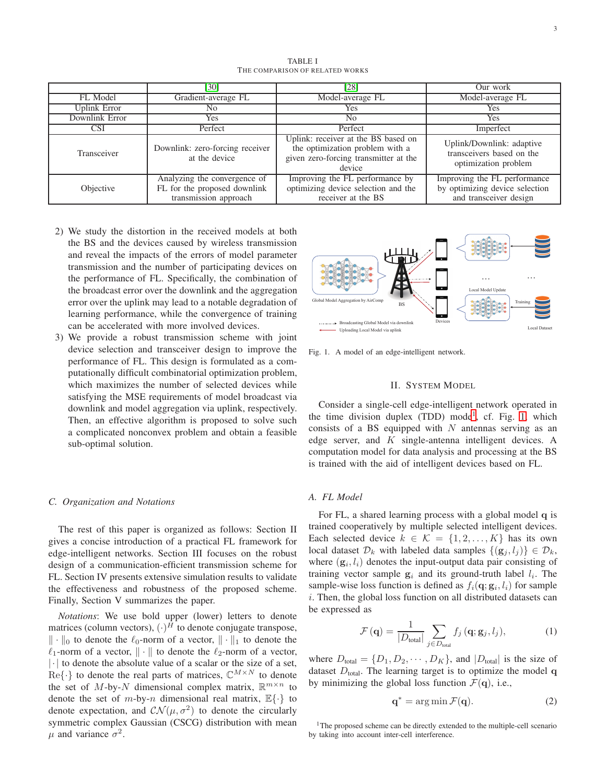<span id="page-2-0"></span>

|                | [30]                                                                                  | [28]                                                                                                                      | Our work                                                                                 |
|----------------|---------------------------------------------------------------------------------------|---------------------------------------------------------------------------------------------------------------------------|------------------------------------------------------------------------------------------|
| FL Model       | Gradient-average FL                                                                   | Model-average FL                                                                                                          | Model-average FL                                                                         |
| Uplink Error   | No                                                                                    | Yes.                                                                                                                      | Yes                                                                                      |
| Downlink Error | Yes                                                                                   | No.                                                                                                                       | Yes                                                                                      |
| CSI            | Perfect                                                                               | Perfect                                                                                                                   | Imperfect                                                                                |
| Transceiver    | Downlink: zero-forcing receiver<br>at the device                                      | Uplink: receiver at the BS based on<br>the optimization problem with a<br>given zero-forcing transmitter at the<br>device | Uplink/Downlink: adaptive<br>transceivers based on the<br>optimization problem           |
| Objective      | Analyzing the convergence of<br>FL for the proposed downlink<br>transmission approach | Improving the FL performance by<br>optimizing device selection and the<br>receiver at the BS                              | Improving the FL performance<br>by optimizing device selection<br>and transceiver design |

- 2) We study the distortion in the received models at both the BS and the devices caused by wireless transmission and reveal the impacts of the errors of model parameter transmission and the number of participating devices on the performance of FL. Specifically, the combination of the broadcast error over the downlink and the aggregation error over the uplink may lead to a notable degradation of learning performance, while the convergence of training can be accelerated with more involved devices.
- 3) We provide a robust transmission scheme with joint device selection and transceiver design to improve the performance of FL. This design is formulated as a computationally difficult combinatorial optimization problem, which maximizes the number of selected devices while satisfying the MSE requirements of model broadcast via downlink and model aggregation via uplink, respectively. Then, an effective algorithm is proposed to solve such a complicated nonconvex problem and obtain a feasible sub-optimal solution.

#### *C. Organization and Notations*

The rest of this paper is organized as follows: Section II gives a concise introduction of a practical FL framework for edge-intelligent networks. Section III focuses on the robust design of a communication-efficient transmission scheme for FL. Section IV presents extensive simulation results to validate the effectiveness and robustness of the proposed scheme. Finally, Section V summarizes the paper.

*Notations*: We use bold upper (lower) letters to denote matrices (column vectors),  $(\cdot)^H$  to denote conjugate transpose,  $\|\cdot\|_0$  to denote the  $\ell_0$ -norm of a vector,  $\|\cdot\|_1$  to denote the  $\ell_1$ -norm of a vector,  $\|\cdot\|$  to denote the  $\ell_2$ -norm of a vector, |·| to denote the absolute value of a scalar or the size of a set,  $\text{Re}\{\cdot\}$  to denote the real parts of matrices,  $\mathbb{C}^{M\times N}$  to denote the set of M-by-N dimensional complex matrix,  $\mathbb{R}^{m \times n}$  to denote the set of m-by-n dimensional real matrix,  $\mathbb{E}\{\cdot\}$  to denote expectation, and  $CN(\mu, \sigma^2)$  to denote the circularly symmetric complex Gaussian (CSCG) distribution with mean  $\mu$  and variance  $\sigma^2$ .



<span id="page-2-2"></span>Fig. 1. A model of an edge-intelligent network.

#### II. SYSTEM MODEL

Consider a single-cell edge-intelligent network operated in the time division duplex (TDD) mode<sup>[1](#page-2-1)</sup>, cf. Fig. [1,](#page-2-2) which consists of a BS equipped with  $N$  antennas serving as an edge server, and  $K$  single-antenna intelligent devices. A computation model for data analysis and processing at the BS is trained with the aid of intelligent devices based on FL.

#### *A. FL Model*

For FL, a shared learning process with a global model q is trained cooperatively by multiple selected intelligent devices. Each selected device  $k \in \mathcal{K} = \{1, 2, ..., K\}$  has its own local dataset  $\mathcal{D}_k$  with labeled data samples  $\{(\mathbf{g}_i, l_i)\}\in \mathcal{D}_k$ , where  $(g_i, l_i)$  denotes the input-output data pair consisting of training vector sample  $g_i$  and its ground-truth label  $l_i$ . The sample-wise loss function is defined as  $f_i(\mathbf{q}; \mathbf{g}_i, l_i)$  for sample  $i$ . Then, the global loss function on all distributed datasets can be expressed as

<span id="page-2-3"></span>
$$
\mathcal{F}\left(\mathbf{q}\right) = \frac{1}{\left|D_{\text{total}}\right|} \sum_{j \in D_{\text{total}}} f_j\left(\mathbf{q}; \mathbf{g}_j, l_j\right),\tag{1}
$$

where  $D_{\text{total}} = \{D_1, D_2, \cdots, D_K\}$ , and  $|D_{\text{total}}|$  is the size of dataset  $D_{total}$ . The learning target is to optimize the model q by minimizing the global loss function  $\mathcal{F}(\mathbf{q})$ , i.e.,

$$
\mathbf{q}^* = \arg\min \mathcal{F}(\mathbf{q}).\tag{2}
$$

<span id="page-2-1"></span><sup>1</sup>The proposed scheme can be directly extended to the multiple-cell scenario by taking into account inter-cell interference.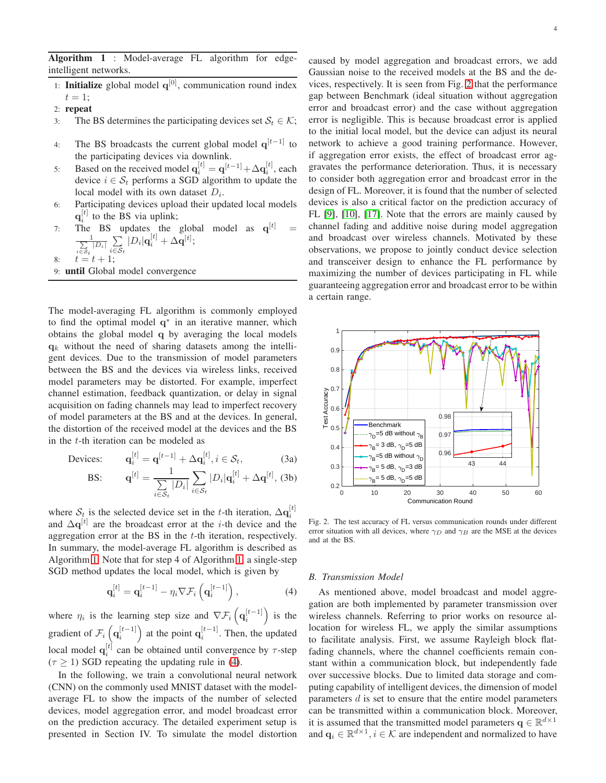<span id="page-3-0"></span>Algorithm 1 : Model-average FL algorithm for edgeintelligent networks.

- 1: **Initialize** global model  $q^{[0]}$ , communication round index  $t=1;$
- 2: repeat
- 3: The BS determines the participating devices set  $S_t \in \mathcal{K}$ ;
- 4: The BS broadcasts the current global model  $q^{[t-1]}$  to the participating devices via downlink.
- 5: Based on the received model  $\mathbf{q}_i^{[t]} = \mathbf{q}^{[t-1]} + \Delta \mathbf{q}_i^{[t]}$ , each device  $i \in S_t$  performs a SGD algorithm to update the local model with its own dataset  $D_i$ .
- 6: Participating devices upload their updated local models  $q_i^{[t]}$  to the BS via uplink;
- $q_i$  to the BS via uplink,<br>7: The BS updates the global model as  $q^{[t]}$  =  $\frac{1}{\sum}$  $\frac{1}{\sum\limits_{i\in S_t}\left|D_i\right|}\sum\limits_{i\in\mathcal{S}}$  $\sum_{i\in {\cal S}_t } |D_i|{\bf q}_i^{[t]} + \Delta {\bf q}^{[t]};$

$$
8: \t t = t + 1;
$$

9: until Global model convergence

The model-averaging FL algorithm is commonly employed to find the optimal model  $q^*$  in an iterative manner, which obtains the global model q by averaging the local models  $q_k$  without the need of sharing datasets among the intelligent devices. Due to the transmission of model parameters between the BS and the devices via wireless links, received model parameters may be distorted. For example, imperfect channel estimation, feedback quantization, or delay in signal acquisition on fading channels may lead to imperfect recovery of model parameters at the BS and at the devices. In general, the distortion of the received model at the devices and the BS in the t-th iteration can be modeled as

$$
\text{Devices:} \qquad \mathbf{q}_i^{[t]} = \mathbf{q}^{[t-1]} + \Delta \mathbf{q}_i^{[t]}, i \in \mathcal{S}_t,\tag{3a}
$$

BS: 
$$
\mathbf{q}^{[t]} = \frac{1}{\sum\limits_{i \in \mathcal{S}_t} |D_i|} \sum\limits_{i \in \mathcal{S}_t} |D_i| \mathbf{q}_i^{[t]} + \Delta \mathbf{q}^{[t]}, \text{ (3b)}
$$

where  $S_t$  is the selected device set in the t-th iteration,  $\Delta \mathbf{q}_i^{[t]}$ and  $\Delta \mathbf{q}^{[t]}$  are the broadcast error at the *i*-th device and the aggregation error at the BS in the t-th iteration, respectively. In summary, the model-average FL algorithm is described as Algorithm [1.](#page-3-0) Note that for step 4 of Algorithm [1,](#page-3-0) a single-step SGD method updates the local model, which is given by

<span id="page-3-1"></span>
$$
\mathbf{q}_{i}^{[t]} = \mathbf{q}_{i}^{[t-1]} - \eta_{i} \nabla \mathcal{F}_{i} \left( \mathbf{q}_{i}^{[t-1]} \right), \qquad (4)
$$

where  $\eta_i$  is the learning step size and  $\nabla \mathcal{F}_i\left(\mathbf{q}_i^{[t-1]}\right)$  is the gradient of  $\mathcal{F}_i\left(\mathbf{q}_i^{[t-1]}\right)$  at the point  $\mathbf{q}_i^{[t-1]}$ . Then, the updated local model  $\mathbf{q}_i^{[t]}$  can be obtained until convergence by  $\tau$ -step  $(\tau \geq 1)$  SGD repeating the updating rule in [\(4\)](#page-3-1).

In the following, we train a convolutional neural network (CNN) on the commonly used MNIST dataset with the modelaverage FL to show the impacts of the number of selected devices, model aggregation error, and model broadcast error on the prediction accuracy. The detailed experiment setup is presented in Section IV. To simulate the model distortion caused by model aggregation and broadcast errors, we add Gaussian noise to the received models at the BS and the devices, respectively. It is seen from Fig. [2](#page-3-2) that the performance gap between Benchmark (ideal situation without aggregation error and broadcast error) and the case without aggregation error is negligible. This is because broadcast error is applied to the initial local model, but the device can adjust its neural network to achieve a good training performance. However, if aggregation error exists, the effect of broadcast error aggravates the performance deterioration. Thus, it is necessary to consider both aggregation error and broadcast error in the design of FL. Moreover, it is found that the number of selected devices is also a critical factor on the prediction accuracy of FL [\[9\]](#page-11-7), [\[10\]](#page-11-8), [\[17\]](#page-12-3). Note that the errors are mainly caused by channel fading and additive noise during model aggregation and broadcast over wireless channels. Motivated by these observations, we propose to jointly conduct device selection and transceiver design to enhance the FL performance by maximizing the number of devices participating in FL while guaranteeing aggregation error and broadcast error to be within a certain range.



<span id="page-3-2"></span>Fig. 2. The test accuracy of FL versus communication rounds under different error situation with all devices, where  $\gamma_D$  and  $\gamma_B$  are the MSE at the devices and at the BS.

# *B. Transmission Model*

As mentioned above, model broadcast and model aggregation are both implemented by parameter transmission over wireless channels. Referring to prior works on resource allocation for wireless FL, we apply the similar assumptions to facilitate analysis. First, we assume Rayleigh block flatfading channels, where the channel coefficients remain constant within a communication block, but independently fade over successive blocks. Due to limited data storage and computing capability of intelligent devices, the dimension of model parameters  $d$  is set to ensure that the entire model parameters can be transmitted within a communication block. Moreover, it is assumed that the transmitted model parameters  $\mathbf{q} \in \mathbb{R}^{d \times 1}$ and  $\mathbf{q}_i \in \mathbb{R}^{d \times 1}$ ,  $i \in \mathcal{K}$  are independent and normalized to have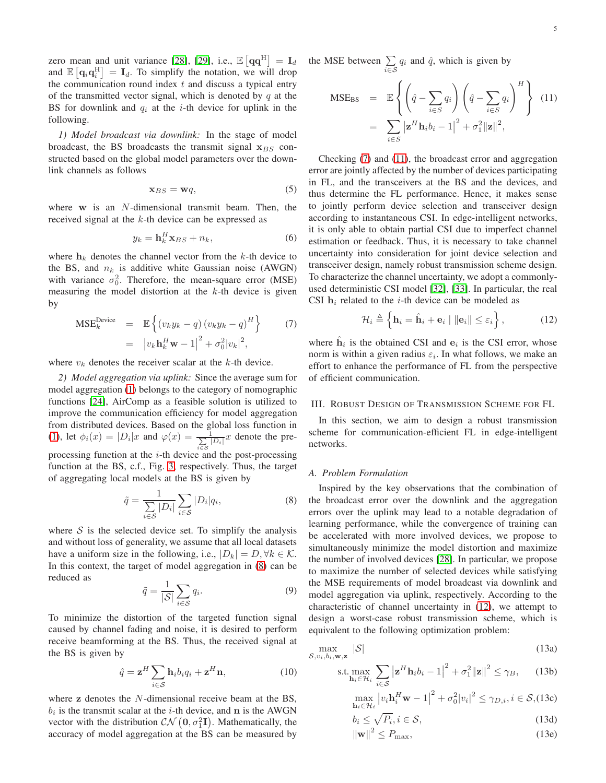zero mean and unit variance [\[28\]](#page-12-14), [\[29\]](#page-12-15), i.e.,  $\mathbb{E}\left[\mathbf{q}\mathbf{q}^{\mathrm{H}}\right] = \mathbf{I}_d$ and  $\mathbb{E} [\mathbf{q}_i \mathbf{q}_i^{\text{H}}] = \mathbf{I}_d$ . To simplify the notation, we will drop the communication round index  $t$  and discuss a typical entry of the transmitted vector signal, which is denoted by  $q$  at the BS for downlink and  $q_i$  at the *i*-th device for uplink in the following.

*1) Model broadcast via downlink:* In the stage of model broadcast, the BS broadcasts the transmit signal  $x_{BS}$  constructed based on the global model parameters over the downlink channels as follows

$$
\mathbf{x}_{BS} = \mathbf{w}q,\tag{5}
$$

where  $w$  is an  $N$ -dimensional transmit beam. Then, the received signal at the k-th device can be expressed as

$$
y_k = \mathbf{h}_k^H \mathbf{x}_{BS} + n_k,\tag{6}
$$

where  $h_k$  denotes the channel vector from the k-th device to the BS, and  $n_k$  is additive white Gaussian noise (AWGN) with variance  $\sigma_0^2$ . Therefore, the mean-square error (MSE) measuring the model distortion at the  $k$ -th device is given by

<span id="page-4-1"></span>
$$
\begin{array}{rcl}\n\mathbf{MSE}_{k}^{\text{Device}} & = & \mathbb{E}\left\{ \left(v_{k}y_{k}-q\right)\left(v_{k}y_{k}-q\right)^{H}\right\} \\
& = & \left|v_{k}\mathbf{h}_{k}^{H}\mathbf{w}-1\right|^{2}+\sigma_{0}^{2}\left|v_{k}\right|^{2},\n\end{array} \tag{7}
$$

where  $v_k$  denotes the receiver scalar at the  $k$ -th device.

*2) Model aggregation via uplink:* Since the average sum for model aggregation [\(1\)](#page-2-3) belongs to the category of nomographic functions [\[24\]](#page-12-10), AirComp as a feasible solution is utilized to improve the communication efficiency for model aggregation from distributed devices. Based on the global loss function in [\(1\)](#page-2-3), let  $\phi_i(x) = |D_i|x$  and  $\varphi(x) = \frac{1}{\sum x}$  $\frac{1}{\sum\limits_{i\in S} |D_i|} x$  denote the preprocessing function at the  $i$ -th device and the post-processing function at the BS, c.f., Fig. [3,](#page-5-0) respectively. Thus, the target of aggregating local models at the BS is given by

<span id="page-4-0"></span>
$$
\tilde{q} = \frac{1}{\sum_{i \in S} |D_i|} \sum_{i \in S} |D_i| q_i,\tag{8}
$$

where  $S$  is the selected device set. To simplify the analysis and without loss of generality, we assume that all local datasets have a uniform size in the following, i.e.,  $|D_k| = D, \forall k \in \mathcal{K}$ . In this context, the target of model aggregation in [\(8\)](#page-4-0) can be reduced as

$$
\tilde{q} = \frac{1}{|\mathcal{S}|} \sum_{i \in \mathcal{S}} q_i.
$$
\n(9)

To minimize the distortion of the targeted function signal caused by channel fading and noise, it is desired to perform receive beamforming at the BS. Thus, the received signal at the BS is given by

$$
\hat{q} = \mathbf{z}^H \sum_{i \in \mathcal{S}} \mathbf{h}_i b_i q_i + \mathbf{z}^H \mathbf{n},\tag{10}
$$

where  $\bf{z}$  denotes the N-dimensional receive beam at the BS,  $b_i$  is the transmit scalar at the *i*-th device, and **n** is the AWGN vector with the distribution  $\mathcal{CN}(\mathbf{0}, \sigma_1^2 \mathbf{I})$ . Mathematically, the accuracy of model aggregation at the BS can be measured by the MSE between  $\Sigma$  $\sum_{i \in S} q_i$  and  $\hat{q}$ , which is given by

<span id="page-4-2"></span>
$$
\begin{aligned} \text{MSE}_{\text{BS}} &= \mathbb{E} \left\{ \left( \hat{q} - \sum_{i \in S} q_i \right) \left( \hat{q} - \sum_{i \in S} q_i \right)^H \right\} \quad (11) \\ &= \sum_{i \in S} \left| \mathbf{z}^H \mathbf{h}_i b_i - 1 \right|^2 + \sigma_1^2 \|\mathbf{z}\|^2, \end{aligned}
$$

Checking [\(7\)](#page-4-1) and [\(11\)](#page-4-2), the broadcast error and aggregation error are jointly affected by the number of devices participating in FL, and the transceivers at the BS and the devices, and thus determine the FL performance. Hence, it makes sense to jointly perform device selection and transceiver design according to instantaneous CSI. In edge-intelligent networks, it is only able to obtain partial CSI due to imperfect channel estimation or feedback. Thus, it is necessary to take channel uncertainty into consideration for joint device selection and transceiver design, namely robust transmission scheme design. To characterize the channel uncertainty, we adopt a commonlyused deterministic CSI model [\[32\]](#page-12-17), [\[33\]](#page-12-18). In particular, the real CSI  $h_i$  related to the *i*-th device can be modeled as

<span id="page-4-3"></span>
$$
\mathcal{H}_i \triangleq \left\{ \mathbf{h}_i = \hat{\mathbf{h}}_i + \mathbf{e}_i \mid \|\mathbf{e}_i\| \le \varepsilon_i \right\},\tag{12}
$$

where  $\hat{h}_i$  is the obtained CSI and  $e_i$  is the CSI error, whose norm is within a given radius  $\varepsilon_i$ . In what follows, we make an effort to enhance the performance of FL from the perspective of efficient communication.

#### III. ROBUST DESIGN OF TRANSMISSION SCHEME FOR FL

In this section, we aim to design a robust transmission scheme for communication-efficient FL in edge-intelligent networks.

### *A. Problem Formulation*

Inspired by the key observations that the combination of the broadcast error over the downlink and the aggregation errors over the uplink may lead to a notable degradation of learning performance, while the convergence of training can be accelerated with more involved devices, we propose to simultaneously minimize the model distortion and maximize the number of involved devices [\[28\]](#page-12-14). In particular, we propose to maximize the number of selected devices while satisfying the MSE requirements of model broadcast via downlink and model aggregation via uplink, respectively. According to the characteristic of channel uncertainty in [\(12\)](#page-4-3), we attempt to design a worst-case robust transmission scheme, which is equivalent to the following optimization problem:

$$
\max_{\mathcal{S}, v_i, b_i, \mathbf{w}, \mathbf{z}} |\mathcal{S}| \tag{13a}
$$

<span id="page-4-4"></span>
$$
\text{s.t.} \max_{\mathbf{h}_i \in \mathcal{H}_i} \sum_{i \in \mathcal{S}} \left| \mathbf{z}^H \mathbf{h}_i b_i - 1 \right|^2 + \sigma_1^2 \| \mathbf{z} \|^2 \le \gamma_B, \qquad (13b)
$$

<span id="page-4-5"></span>
$$
\max_{\mathbf{h}_i \in \mathcal{H}_i} \left| v_i \mathbf{h}_i^H \mathbf{w} - 1 \right|^2 + \sigma_0^2 |v_i|^2 \le \gamma_{D,i}, i \in \mathcal{S}, (13c)
$$

$$
b_i \le \sqrt{P_i}, i \in \mathcal{S},
$$
  

$$
\|\mathbf{w}\|^2 \le P_{\text{max}},
$$
  
(13d)  
(13e)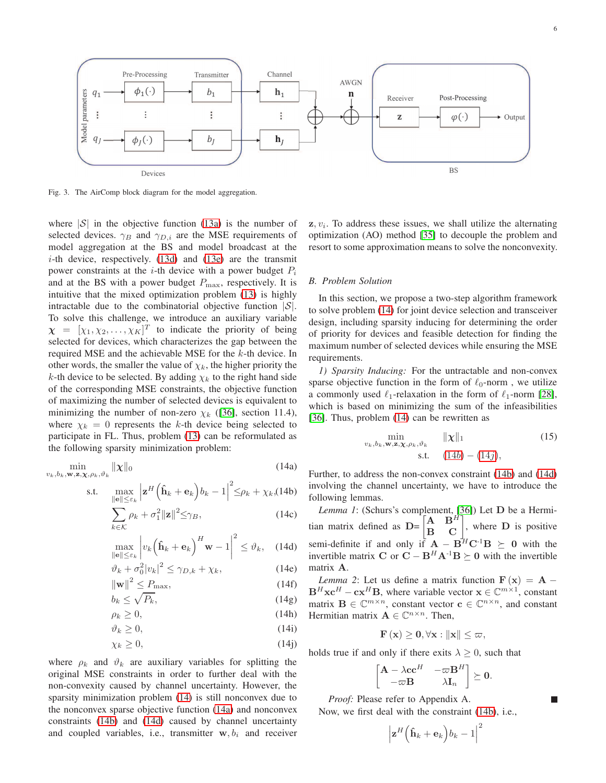

<span id="page-5-0"></span>Fig. 3. The AirComp block diagram for the model aggregation.

where  $|S|$  in the objective function [\(13a\)](#page-4-4) is the number of selected devices.  $\gamma_B$  and  $\gamma_{D,i}$  are the MSE requirements of model aggregation at the BS and model broadcast at the  $i$ -th device, respectively. [\(13d\)](#page-4-4) and [\(13e\)](#page-4-4) are the transmit power constraints at the *i*-th device with a power budget  $P_i$ and at the BS with a power budget  $P_{\text{max}}$ , respectively. It is intuitive that the mixed optimization problem [\(13\)](#page-4-5) is highly intractable due to the combinatorial objective function  $|S|$ . To solve this challenge, we introduce an auxiliary variable  $\boldsymbol{\chi} = [\chi_1, \chi_2, \dots, \chi_K]^T$  to indicate the priority of being selected for devices, which characterizes the gap between the required MSE and the achievable MSE for the k-th device. In other words, the smaller the value of  $\chi_k$ , the higher priority the k-th device to be selected. By adding  $\chi_k$  to the right hand side of the corresponding MSE constraints, the objective function of maximizing the number of selected devices is equivalent to minimizing the number of non-zero  $\chi_k$  ([\[36\]](#page-12-19), section 11.4), where  $\chi_k = 0$  represents the k-th device being selected to participate in FL. Thus, problem [\(13\)](#page-4-5) can be reformulated as the following sparsity minimization problem:

<span id="page-5-2"></span>
$$
\min_{v_k, b_k, \mathbf{w}, \mathbf{z}, \mathbf{\chi}, \rho_k, \vartheta_k} \|\mathbf{\chi}\|_0 \tag{14a}
$$

$$
\text{s.t.} \quad \max_{\|\mathbf{e}\| \le \varepsilon_k} \left| \mathbf{z}^H \left( \mathbf{\hat{h}}_k + \mathbf{e}_k \right) b_k - 1 \right|^2 \le \rho_k + \chi_k, \text{(14b)}
$$

$$
\sum_{k \in \mathcal{K}} \rho_k + \sigma_1^2 ||\mathbf{z}||^2 \le \gamma_B,
$$
\n(14c)

$$
\max_{\|\mathbf{e}\| \le \varepsilon_k} \left| v_k \left( \hat{\mathbf{h}}_k + \mathbf{e}_k \right)^H \mathbf{w} - 1 \right|^2 \le \vartheta_k, \quad (14d)
$$

$$
\vartheta_k + \sigma_0^2 |v_k|^2 \le \gamma_{D,k} + \chi_k,\tag{14e}
$$

$$
\|\mathbf{w}\|^2 \le P_{\text{max}},\tag{14f}
$$

$$
b_k \le \sqrt{P_k},\tag{14g}
$$

$$
\rho_k \ge 0,\tag{14h}
$$

$$
\vartheta_k \ge 0,\tag{14i}
$$

$$
\begin{aligned}\n x &= 0, \\
 x_k &\geq 0,\n \end{aligned}\n \tag{14j}
$$

where  $\rho_k$  and  $\vartheta_k$  are auxiliary variables for splitting the original MSE constraints in order to further deal with the non-convexity caused by channel uncertainty. However, the sparsity minimization problem [\(14\)](#page-5-1) is still nonconvex due to the nonconvex sparse objective function [\(14a\)](#page-5-2) and nonconvex constraints [\(14b\)](#page-5-2) and [\(14d\)](#page-5-2) caused by channel uncertainty and coupled variables, i.e., transmitter  $w, b_i$  and receiver

 $z, v_i$ . To address these issues, we shall utilize the alternating optimization (AO) method [\[35\]](#page-12-20) to decouple the problem and resort to some approximation means to solve the nonconvexity.

#### *B. Problem Solution*

In this section, we propose a two-step algorithm framework to solve problem [\(14\)](#page-5-1) for joint device selection and transceiver design, including sparsity inducing for determining the order of priority for devices and feasible detection for finding the maximum number of selected devices while ensuring the MSE requirements.

*1) Sparsity Inducing:* For the untractable and non-convex sparse objective function in the form of  $\ell_0$ -norm, we utilize a commonly used  $\ell_1$ -relaxation in the form of  $\ell_1$ -norm [\[28\]](#page-12-14), which is based on minimizing the sum of the infeasibilities [\[36\]](#page-12-19). Thus, problem  $(14)$  can be rewritten as

<span id="page-5-4"></span>
$$
\min_{v_k, b_k, \mathbf{w}, \mathbf{z}, \mathbf{\chi}, \rho_k, \vartheta_k} \quad \|\mathbf{\chi}\|_1 \tag{15}
$$
\n
$$
\text{s.t.} \quad (14b) - (14j),
$$

<span id="page-5-1"></span>Further, to address the non-convex constraint [\(14b\)](#page-5-2) and [\(14d\)](#page-5-2) involving the channel uncertainty, we have to introduce the following lemmas.

*Lemma 1*: (Schurs's complement, [\[36\]](#page-12-19)) Let D be a Hermitian matrix defined as  $D = \begin{bmatrix} A & B^H \\ B & C \end{bmatrix}$ , where  $D$  is positive semi-definite if and only if  $\mathbf{A} - \mathbf{B}^H \mathbf{C}^{-1} \mathbf{B} \succeq 0$  with the invertible matrix C or  $C - B^H A^{-1}B \succeq 0$  with the invertible matrix A.

*Lemma 2*: Let us define a matrix function  $\mathbf{F}(\mathbf{x}) = \mathbf{A} - \mathbf{A}$  $\mathbf{B}^H \mathbf{xc}^H - \mathbf{cx}^H \mathbf{B}$ , where variable vector  $\mathbf{x} \in \mathbb{C}^{m \times 1}$ , constant matrix  $\mathbf{B} \in \mathbb{C}^{m \times n}$ , constant vector  $\mathbf{c} \in \mathbb{C}^{n \times n}$ , and constant Hermitian matrix  $\mathbf{A} \in \mathbb{C}^{n \times n}$ . Then,

$$
\mathbf{F}\left(\mathbf{x}\right) \geq \mathbf{0}, \forall \mathbf{x} : \|\mathbf{x}\| \leq \varpi,
$$

holds true if and only if there exits  $\lambda \geq 0$ , such that

$$
\begin{bmatrix} \mathbf{A} - \lambda \mathbf{c} \mathbf{c}^H & -\varpi \mathbf{B}^H \\ -\varpi \mathbf{B} & \lambda \mathbf{I}_n \end{bmatrix} \succeq \mathbf{0}.
$$

г

*Proof:* Please refer to Appendix A.

Now, we first deal with the constraint [\(14b\)](#page-5-2), i.e.,

<span id="page-5-3"></span>
$$
\left|\mathbf{z}^H\Big(\mathbf{\hat{h}}_k+\mathbf{e}_k\Big)b_k-1\right|^2
$$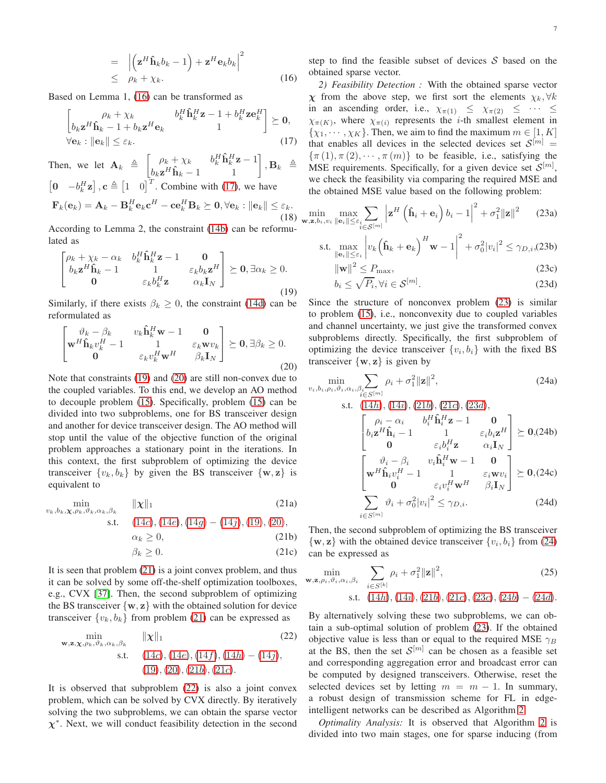$$
= \left| \left( \mathbf{z}^H \hat{\mathbf{h}}_k b_k - 1 \right) + \mathbf{z}^H \mathbf{e}_k b_k \right|^2
$$
  
 
$$
\leq \rho_k + \chi_k.
$$
 (16)

Based on Lemma 1, [\(16\)](#page-5-3) can be transformed as

<span id="page-6-0"></span>
$$
\begin{bmatrix}\n\rho_k + \chi_k & b_k^H \mathbf{\hat{h}}_k^H \mathbf{z} - 1 + b_k^H \mathbf{z} \mathbf{e}_k^H \\
b_k \mathbf{z}^H \mathbf{\hat{h}}_k - 1 + b_k \mathbf{z}^H \mathbf{e}_k & 1\n\end{bmatrix} \succeq \mathbf{0},
$$
\n
$$
\forall \mathbf{e}_k : \|\mathbf{e}_k\| \le \varepsilon_k.
$$
\n(17)

Then, we let  $\mathbf{A}_k \triangleq \begin{bmatrix} \rho_k + \chi_k & b_k^H \hat{\mathbf{h}}_k^H \mathbf{z} - 1 \\ b_k^H \hat{\mathbf{h}}_k^H \mathbf{z} \end{bmatrix}$  $\left[\begin{matrix} \rho_k + \chi_k & b_k^H \hat{\mathbf{h}}_k^H \mathbf{z} - 1 \ b_k \mathbf{z}^H \hat{\mathbf{h}}_k - 1 & 1 \end{matrix} \right], \mathbf{B}_k \triangleq$  $\begin{bmatrix} \mathbf{0} & -b_k^H \mathbf{z} \end{bmatrix}$ ,  $\mathbf{c} \triangleq \begin{bmatrix} 1 & 0 \end{bmatrix}^T$ . Combine with [\(17\)](#page-6-0), we have  $\mathbf{F}_k(\mathbf{e}_k) = \mathbf{A}_k - \mathbf{B}_k^H \mathbf{e}_k \mathbf{c}^H - \mathbf{c} \mathbf{e}_k^H \mathbf{B}_k \succeq \mathbf{0}, \forall \mathbf{e}_k : \|\mathbf{e}_k\| \leq \varepsilon_k.$ (18)

According to Lemma 2, the constraint [\(14b\)](#page-5-2) can be reformulated as

<span id="page-6-1"></span>
$$
\begin{bmatrix}\n\rho_k + \chi_k - \alpha_k & b_k^H \mathbf{\hat{h}}_k^H \mathbf{z} - 1 & \mathbf{0} \\
b_k \mathbf{z}^H \mathbf{\hat{h}}_k - 1 & 1 & \varepsilon_k b_k \mathbf{z}^H \\
\mathbf{0} & \varepsilon_k b_k^H \mathbf{z} & \alpha_k \mathbf{I}_N\n\end{bmatrix} \succeq \mathbf{0}, \exists \alpha_k \ge 0.
$$
\n(19)

Similarly, if there exists  $\beta_k \geq 0$ , the constraint [\(14d\)](#page-5-2) can be reformulated as

<span id="page-6-2"></span>
$$
\begin{bmatrix}\n\vartheta_k - \beta_k & v_k \hat{\mathbf{h}}_k^H \mathbf{w} - 1 & \mathbf{0} \\
\mathbf{w}^H \hat{\mathbf{h}}_k v_k^H - 1 & 1 & \varepsilon_k \mathbf{w} v_k \\
\mathbf{0} & \varepsilon_k v_k^H \mathbf{w}^H & \beta_k \mathbf{I}_N\n\end{bmatrix} \succeq \mathbf{0}, \exists \beta_k \ge 0.
$$
\n(20)

Note that constraints [\(19\)](#page-6-1) and [\(20\)](#page-6-2) are still non-convex due to the coupled variables. To this end, we develop an AO method to decouple problem [\(15\)](#page-5-4). Specifically, problem [\(15\)](#page-5-4) can be divided into two subproblems, one for BS transceiver design and another for device transceiver design. The AO method will stop until the value of the objective function of the original problem approaches a stationary point in the iterations. In this context, the first subproblem of optimizing the device transceiver  $\{v_k, b_k\}$  by given the BS transceiver  $\{\mathbf{w}, \mathbf{z}\}$  is equivalent to

<span id="page-6-4"></span><span id="page-6-3"></span>
$$
\min_{v_k, b_k, \mathbf{\chi}, \rho_k, \vartheta_k, \alpha_k, \beta_k} \quad \|\mathbf{\chi}\|_1 \tag{21a}
$$

s.t. 
$$
(14c), (14e), (14g) - (14j), (19), (20),
$$
  
\n $\alpha_k \ge 0,$  (21b)  
\n $\beta_k \ge 0.$  (21c)

It is seen that problem [\(21\)](#page-6-3) is a joint convex problem, and thus it can be solved by some off-the-shelf optimization toolboxes, e.g., CVX [\[37\]](#page-12-21). Then, the second subproblem of optimizing the BS transceiver  $\{w, z\}$  with the obtained solution for device transceiver  $\{v_k, b_k\}$  from problem [\(21\)](#page-6-3) can be expressed as

<span id="page-6-5"></span>
$$
\min_{\mathbf{w}, \mathbf{z}, \mathbf{\chi}, \rho_k, \vartheta_k, \alpha_k, \beta_k} \quad \|\mathbf{\chi}\|_1 \tag{22}
$$
\n
$$
\text{s.t.} \quad (14c), (14e), (14f), (14h) - (14j), (19), (20), (21b), (21c).
$$

It is observed that subproblem [\(22\)](#page-6-5) is also a joint convex problem, which can be solved by CVX directly. By iteratively solving the two subproblems, we can obtain the sparse vector  $\chi^*$ . Next, we will conduct feasibility detection in the second step to find the feasible subset of devices  $S$  based on the obtained sparse vector.

*2) Feasibility Detection :* With the obtained sparse vector  $\chi$  from the above step, we first sort the elements  $\chi_k, \forall k$ in an ascending order, i.e.,  $\chi_{\pi(1)} \leq \chi_{\pi(2)} \leq \cdots \leq$  $\chi_{\pi(K)}$ , where  $\chi_{\pi(i)}$  represents the *i*-th smallest element in  $\{\chi_1, \cdots, \chi_K\}$ . Then, we aim to find the maximum  $m \in [1, K]$ that enables all devices in the selected devices set  $S^{[m]}$  =  $\{\pi(1), \pi(2), \cdots, \pi(m)\}\$  to be feasible, i.e., satisfying the MSE requirements. Specifically, for a given device set  $\mathcal{S}^{[m]}$ , we check the feasibility via comparing the required MSE and the obtained MSE value based on the following problem:

$$
\min_{\mathbf{w}, \mathbf{z}, b_i, v_i} \max_{\|\mathbf{e}_i\| \le \varepsilon_i} \sum_{i \in \mathcal{S}^{[m]}} \left| \mathbf{z}^H \left( \mathbf{\hat{h}}_i + \mathbf{e}_i \right) b_i - 1 \right|^2 + \sigma_1^2 \|\mathbf{z}\|^2 \qquad (23a)
$$

<span id="page-6-7"></span>
$$
\text{s.t.} \max_{\|\mathbf{e}_i\| \le \varepsilon_i} \left| v_k \left( \mathbf{\hat{h}}_k + \mathbf{e}_k \right)^H \mathbf{w} - 1 \right|^2 + \sigma_0^2 |v_i|^2 \le \gamma_{D,i}(23b)
$$

<span id="page-6-6"></span>
$$
\|\mathbf{w}\|^2 \le P_{\text{max}},\tag{23c}
$$

$$
b_i \le \sqrt{P_i}, \forall i \in \mathcal{S}^{[m]}.
$$
\n(23d)

Since the structure of nonconvex problem [\(23\)](#page-6-6) is similar to problem [\(15\)](#page-5-4), i.e., nonconvexity due to coupled variables and channel uncertainty, we just give the transformed convex subproblems directly. Specifically, the first subproblem of optimizing the device transceiver  $\{v_i, b_i\}$  with the fixed BS transceiver  $\{w, z\}$  is given by

<span id="page-6-9"></span><span id="page-6-8"></span>
$$
\min_{v_i, b_i, \rho_i, \vartheta_i, \alpha_i, \beta_i \in S^{[m]}} \rho_i + \sigma_1^2 ||\mathbf{z}||^2, \tag{24a}
$$
\n
$$
\text{s.t. } (14h), (14i), (21b), (21c), (23d),
$$
\n
$$
\begin{bmatrix}\n\rho_i - \alpha_i & b_i^H \hat{\mathbf{h}}_i^H \mathbf{z} - 1 & \mathbf{0} \\
b_i \mathbf{z}^H \hat{\mathbf{h}}_i - 1 & 1 & \varepsilon_i b_i \mathbf{z}^H \\
\mathbf{0} & \varepsilon_i b_i^H \mathbf{z} & \alpha_i \mathbf{I}_N\n\end{bmatrix} \succeq \mathbf{0}, (24b)
$$
\n
$$
\begin{bmatrix}\n\vartheta_i - \beta_i & v_i \hat{\mathbf{h}}_i^H \mathbf{w} - 1 & \mathbf{0} \\
\mathbf{w}^H \hat{\mathbf{h}}_i v_i^H - 1 & 1 & \varepsilon_i \mathbf{w} v_i \\
\mathbf{0} & \varepsilon_i v_i^H \mathbf{w}^H & \beta_i \mathbf{I}_N\n\end{bmatrix} \succeq \mathbf{0}, (24c)
$$
\n
$$
\sum_{i \in S^{[m]}} \vartheta_i + \sigma_0^2 |v_i|^2 \le \gamma_{D,i}. \tag{24d}
$$

Then, the second subproblem of optimizing the BS transceiver  $\{w, z\}$  with the obtained device transceiver  $\{v_i, b_i\}$  from [\(24\)](#page-6-8) can be expressed as

<span id="page-6-10"></span>
$$
\min_{\mathbf{w}, \mathbf{z}, \rho_i, \vartheta_i, \alpha_i, \beta_i} \sum_{i \in S^{[k]}} \rho_i + \sigma_1^2 ||\mathbf{z}||^2,
$$
\n(25)\n  
\n
$$
\text{s.t.} \quad (14h), (14i), (21b), (21c), (23c), (24b) - (24d).
$$

By alternatively solving these two subproblems, we can obtain a sub-optimal solution of problem [\(23\)](#page-6-6). If the obtained objective value is less than or equal to the required MSE  $\gamma_B$ at the BS, then the set  $S^{[m]}$  can be chosen as a feasible set and corresponding aggregation error and broadcast error can be computed by designed transceivers. Otherwise, reset the selected devices set by letting  $m = m - 1$ . In summary, a robust design of transmission scheme for FL in edgeintelligent networks can be described as Algorithm [2.](#page-7-0)

*Optimality Analysis:* It is observed that Algorithm [2](#page-7-0) is divided into two main stages, one for sparse inducing (from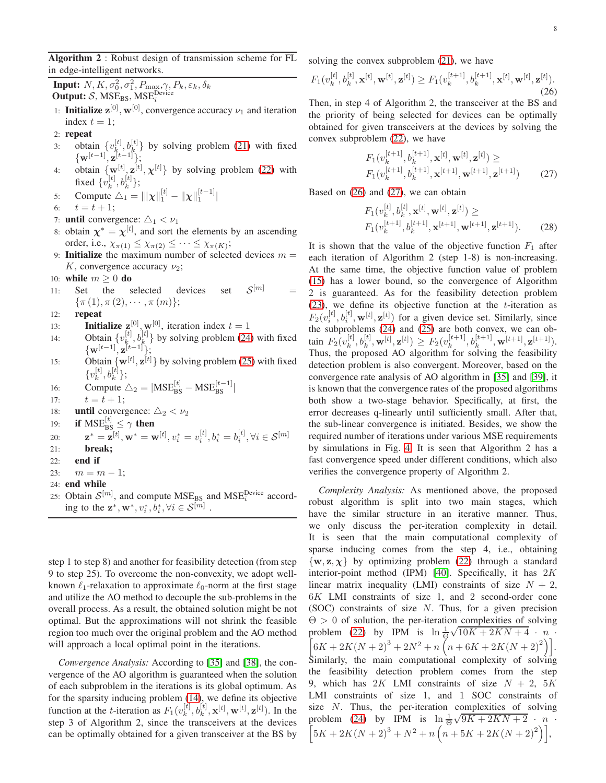<span id="page-7-0"></span>Algorithm 2 : Robust design of transmission scheme for FL in edge-intelligent networks.

**Input:**  $N, K, \sigma_0^2, \sigma_1^2, P_{\text{max}}, \gamma, P_k, \varepsilon_k, \delta_k$ Output:  $S$ , MSE<sub>BS</sub>, MSE<sup>Device</sup>

- 1: **Initialize**  $z^{[0]}, w^{[0]},$  convergence accuracy  $\nu_1$  and iteration index  $t = 1$ ;
- 2: repeat
- 3: obtain  $\{v_{k_i}^{[t]}\}$  $\begin{bmatrix} [t], b^{[t]} \\ k, \end{bmatrix}$  by solving problem [\(21\)](#page-6-3) with fixed  $\{ {\bf w}^{[t-1]}, {\bf z}^{[t-1]}\};$
- 4: obtain  $\{w^{[t]}, z^{[t]}, \chi^{[t]}\}$  by solving problem [\(22\)](#page-6-5) with fixed  $\{v_k^{[t]}$  $_{k}^{[t]},b_{k}^{[t]}\};$
- 5: Compute  $\Delta_1 = ||\mathbf{x}||_1^{[t]} ||\mathbf{x}||_1^{[t-1]}$
- 6:  $t = t + 1;$
- 7: **until** convergence:  $\Delta_1 < \nu_1$
- 8: obtain  $\chi^* = \chi^{[t]}$ , and sort the elements by an ascending order, i.e.,  $\chi_{\pi(1)} \leq \chi_{\pi(2)} \leq \cdots \leq \chi_{\pi(K)};$
- 9: **Initialize** the maximum number of selected devices  $m =$ K, convergence accuracy  $\nu_2$ ;
- 
- 10: **while**  $m \ge 0$  **do**<br>11: Set the s selected devices set  $\mathcal{S}^{[m]}$  =  $\{\pi(1), \pi(2), \cdots, \pi(m)\};$
- 12: repeat
- 13: **Initialize**  $z^{[0]}, w^{[0]},$  iteration index  $t = 1$
- 14: Obtain  $\{v_k^{[t]} \}$  $\{[t], b_{k}^{[t]} \}$  by solving problem [\(24\)](#page-6-8) with fixed  $\{ {\bf w}^{[t-1]}, {\bf z}^{[t-1]}\};$
- 15: Obtain  $\{\mathbf{x}^{[t]}, \mathbf{z}^{[t]}\}$  by solving problem [\(25\)](#page-6-10) with fixed  $\{v_k^{[t]}$  $_{k}^{[t]},b_{k}^{[t]}\};$
- 16: Compute  $\Delta_2 = |MSE_{BS}^{[t]} MSE_{BS}^{[t-1]}|$
- 17:  $t = t + 1$ ;
- 18: **until** convergence:  $\triangle_2 < \nu_2$
- 19: **if**  $MSE_{BS}^{[t]} \leq \gamma$  then

20: 
$$
\mathbf{z}^* = \mathbf{z}^{[t]}, \mathbf{w}^* = \mathbf{w}^{[t]}, v_i^* = v_i^{[t]}, b_i^* = b_i^{[t]}, \forall i \in \mathcal{S}^{[m]}
$$

- 21: break;
- $22:$  end if
- 23:  $m = m 1$ ;
- 24: end while
- 25: Obtain  $S^{[m]}$ , and compute  $MSE_{BS}$  and  $MSE_{i}^{Device}$  according to the  $\mathbf{z}^*, \mathbf{w}^*, v_i^*, b_i^*, \forall i \in \mathcal{S}^{[m]}$ .

step 1 to step 8) and another for feasibility detection (from step 9 to step 25). To overcome the non-convexity, we adopt wellknown  $\ell_1$ -relaxation to approximate  $\ell_0$ -norm at the first stage and utilize the AO method to decouple the sub-problems in the overall process. As a result, the obtained solution might be not optimal. But the approximations will not shrink the feasible region too much over the original problem and the AO method will approach a local optimal point in the iterations.

*Convergence Analysis:* According to [\[35\]](#page-12-20) and [\[38\]](#page-12-22), the convergence of the AO algorithm is guaranteed when the solution of each subproblem in the iterations is its global optimum. As for the sparsity inducing problem [\(14\)](#page-5-1), we define its objective function at the *t*-iteration as  $F_1(v_k^{[t]})$  $k^{[t]}_k, b^{[t]}_k, \mathbf{x}^{[t]}, \mathbf{w}^{[t]}, \mathbf{z}^{[t]})$ . In the step 3 of Algorithm 2, since the transceivers at the devices can be optimally obtained for a given transceiver at the BS by solving the convex subproblem  $(21)$ , we have

<span id="page-7-1"></span>
$$
F_1(v_k^{[t]}, b_k^{[t]}, \mathbf{x}^{[t]}, \mathbf{w}^{[t]}, \mathbf{z}^{[t]}) \ge F_1(v_k^{[t+1]}, b_k^{[t+1]}, \mathbf{x}^{[t]}, \mathbf{w}^{[t]}, \mathbf{z}^{[t]}).
$$
\n(26)

Then, in step 4 of Algorithm 2, the transceiver at the BS and the priority of being selected for devices can be optimally obtained for given transceivers at the devices by solving the convex subproblem [\(22\)](#page-6-5), we have

<span id="page-7-2"></span>
$$
F_1(v_k^{[t+1]}, b_k^{[t+1]}, \mathbf{x}^{[t]}, \mathbf{w}^{[t]}, \mathbf{z}^{[t]}) \ge F_1(v_k^{[t+1]}, b_k^{[t+1]}, \mathbf{x}^{[t+1]}, \mathbf{w}^{[t+1]}, \mathbf{z}^{[t+1]})
$$
(27)

Based on [\(26\)](#page-7-1) and [\(27\)](#page-7-2), we can obtain

$$
F_1(v_k^{[t]}, b_k^{[t]}, \mathbf{x}^{[t]}, \mathbf{w}^{[t]}, \mathbf{z}^{[t]}) \ge F_1(v_k^{[t+1]}, b_k^{[t+1]}, \mathbf{x}^{[t+1]}, \mathbf{w}^{[t+1]}, \mathbf{z}^{[t+1]}).
$$
 (28)

It is shown that the value of the objective function  $F_1$  after each iteration of Algorithm 2 (step 1-8) is non-increasing. At the same time, the objective function value of problem [\(15\)](#page-5-4) has a lower bound, so the convergence of Algorithm 2 is guaranteed. As for the feasibility detection problem [\(23\)](#page-6-6), we define its objective function at the  $t$ -iteration as  $F_2(v_i^{[t]}, b_i^{[t]}, \mathbf{w}^{[t]}, \mathbf{z}^{[t]})$  for a given device set. Similarly, since the subproblems [\(24\)](#page-6-8) and [\(25\)](#page-6-10) are both convex, we can obtain  $F_2(v_k^{[t]}$  $\mathbf{X}_k^{[t]}, b_k^{[t]}, \mathbf{w}^{[t]}, \mathbf{z}^{[t]}) \geq F_2(v_k^{[t+1]})$  $k^{[t+1]}$ ,  $b_k^{[t+1]}$ ,  $\mathbf{w}^{[t+1]}$ ,  $\mathbf{z}^{[t+1]}$ ). Thus, the proposed AO algorithm for solving the feasibility detection problem is also convergent. Moreover, based on the convergence rate analysis of AO algorithm in [\[35\]](#page-12-20) and [\[39\]](#page-12-23), it is known that the convergence rates of the proposed algorithms both show a two-stage behavior. Specifically, at first, the error decreases q-linearly until sufficiently small. After that, the sub-linear convergence is initiated. Besides, we show the required number of iterations under various MSE requirements by simulations in Fig. [4.](#page-8-0) It is seen that Algorithm 2 has a fast convergence speed under different conditions, which also verifies the convergence property of Algorithm 2.

*Complexity Analysis:* As mentioned above, the proposed robust algorithm is split into two main stages, which have the similar structure in an iterative manner. Thus, we only discuss the per-iteration complexity in detail. It is seen that the main computational complexity of sparse inducing comes from the step 4, i.e., obtaining  $\{w, z, \chi\}$  by optimizing problem [\(22\)](#page-6-5) through a standard interior-point method (IPM) [\[40\]](#page-12-24). Specifically, it has  $2K$ linear matrix inequality (LMI) constraints of size  $N + 2$ , 6K LMI constraints of size 1, and 2 second-order cone (SOC) constraints of size N. Thus, for a given precision  $\Theta > 0$  of solution, the per-iteration complexities of solving problem [\(22\)](#page-6-5) by IPM is  $\ln \frac{1}{\Theta} \sqrt{10K + 2KN + 4}$  · n  $\left[6K + 2K(N+2)^3 + 2N^2 + n\left(n + 6K + 2K(N+2)^2\right)\right].$ Similarly, the main computational complexity of solving the feasibility detection problem comes from the step 9, which has 2K LMI constraints of size  $N + 2$ , 5K LMI constraints of size 1, and 1 SOC constraints of size  $N$ . Thus, the per-iteration complexities of solving problem [\(24\)](#page-6-8) by IPM is  $\ln \frac{1}{\Theta} \sqrt{9K + 2KN + 2}$  · n ·  $\left[5K + 2K(N+2)^3 + N^2 + n\left(n+5K + 2K(N+2)^2\right)\right],$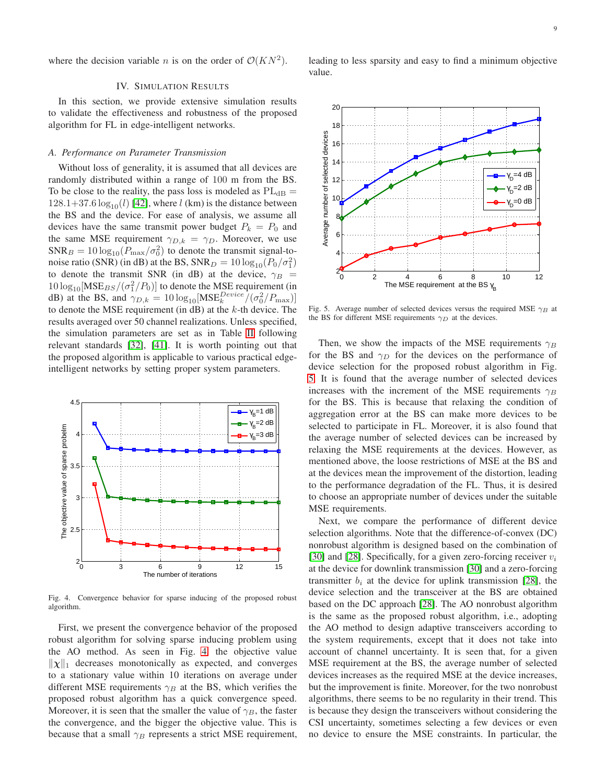where the decision variable *n* is on the order of  $\mathcal{O}(KN^2)$ .

#### IV. SIMULATION RESULTS

In this section, we provide extensive simulation results to validate the effectiveness and robustness of the proposed algorithm for FL in edge-intelligent networks.

### *A. Performance on Parameter Transmission*

Without loss of generality, it is assumed that all devices are randomly distributed within a range of 100 m from the BS. To be close to the reality, the pass loss is modeled as  $PL_{dB}$  =  $128.1+37.6 \log_{10}(l)$  [\[42\]](#page-12-25), where l (km) is the distance between the BS and the device. For ease of analysis, we assume all devices have the same transmit power budget  $P_k = P_0$  and the same MSE requirement  $\gamma_{D,k} = \gamma_D$ . Moreover, we use  $SNR_B = 10 \log_{10}(P_{\text{max}}/\sigma_0^2)$  to denote the transmit signal-tonoise ratio (SNR) (in dB) at the BS,  $\text{SNR}_D = 10 \log_{10} (P_0 / \sigma_1^2)$ to denote the transmit SNR (in dB) at the device,  $\gamma_B$  =  $10 \log_{10}[\text{MSE}_{BS}/(\sigma_1^2/P_0)]$  to denote the MSE requirement (in dB) at the BS, and  $\gamma_{D,k} = 10 \log_{10}[\text{MSE}_k^{Device}/(\sigma_0^2/P_{\text{max}})]$ to denote the MSE requirement (in  $dB$ ) at the  $k$ -th device. The results averaged over 50 channel realizations. Unless specified, the simulation parameters are set as in Table [II](#page-9-0) following relevant standards [\[32\]](#page-12-17), [\[41\]](#page-12-26). It is worth pointing out that the proposed algorithm is applicable to various practical edgeintelligent networks by setting proper system parameters.



<span id="page-8-0"></span>Fig. 4. Convergence behavior for sparse inducing of the proposed robust algorithm.

First, we present the convergence behavior of the proposed robust algorithm for solving sparse inducing problem using the AO method. As seen in Fig. [4,](#page-8-0) the objective value  $\|\chi\|_1$  decreases monotonically as expected, and converges to a stationary value within 10 iterations on average under different MSE requirements  $\gamma_B$  at the BS, which verifies the proposed robust algorithm has a quick convergence speed. Moreover, it is seen that the smaller the value of  $\gamma_B$ , the faster the convergence, and the bigger the objective value. This is because that a small  $\gamma_B$  represents a strict MSE requirement, leading to less sparsity and easy to find a minimum objective value.



<span id="page-8-1"></span>Fig. 5. Average number of selected devices versus the required MSE  $\gamma_B$  at the BS for different MSE requirements  $\gamma_D$  at the devices.

Then, we show the impacts of the MSE requirements  $\gamma_B$ for the BS and  $\gamma_D$  for the devices on the performance of device selection for the proposed robust algorithm in Fig. [5.](#page-8-1) It is found that the average number of selected devices increases with the increment of the MSE requirements  $\gamma_B$ for the BS. This is because that relaxing the condition of aggregation error at the BS can make more devices to be selected to participate in FL. Moreover, it is also found that the average number of selected devices can be increased by relaxing the MSE requirements at the devices. However, as mentioned above, the loose restrictions of MSE at the BS and at the devices mean the improvement of the distortion, leading to the performance degradation of the FL. Thus, it is desired to choose an appropriate number of devices under the suitable MSE requirements.

Next, we compare the performance of different device selection algorithms. Note that the difference-of-convex (DC) nonrobust algorithm is designed based on the combination of [\[30\]](#page-12-16) and [\[28\]](#page-12-14). Specifically, for a given zero-forcing receiver  $v_i$ at the device for downlink transmission [\[30\]](#page-12-16) and a zero-forcing transmitter  $b_i$  at the device for uplink transmission [\[28\]](#page-12-14), the device selection and the transceiver at the BS are obtained based on the DC approach [\[28\]](#page-12-14). The AO nonrobust algorithm is the same as the proposed robust algorithm, i.e., adopting the AO method to design adaptive transceivers according to the system requirements, except that it does not take into account of channel uncertainty. It is seen that, for a given MSE requirement at the BS, the average number of selected devices increases as the required MSE at the device increases, but the improvement is finite. Moreover, for the two nonrobust algorithms, there seems to be no regularity in their trend. This is because they design the transceivers without considering the CSI uncertainty, sometimes selecting a few devices or even no device to ensure the MSE constraints. In particular, the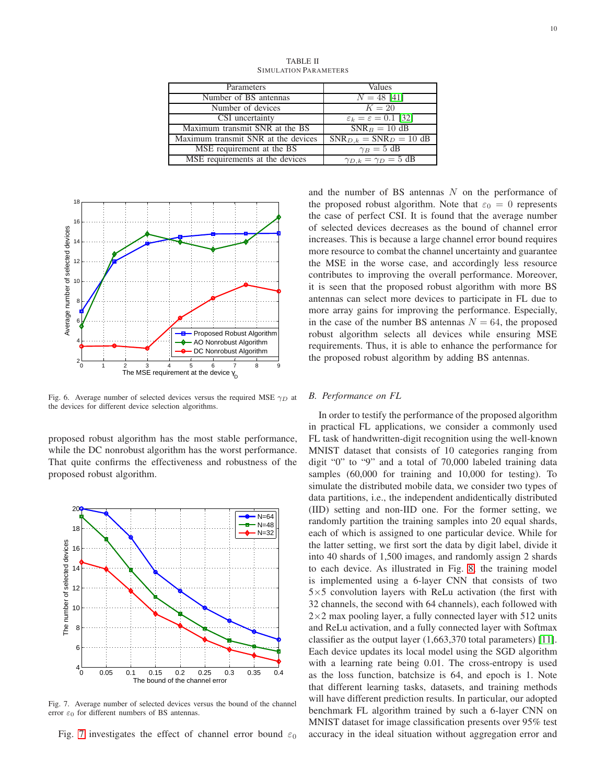TABLE II SIMULATION PARAMETERS

<span id="page-9-0"></span>

| Parameters                          | Values                                   |  |  |
|-------------------------------------|------------------------------------------|--|--|
| Number of BS antennas               | $N = 48$ [41]                            |  |  |
| Number of devices                   | $K=20$                                   |  |  |
| CSI uncertainty                     | $\varepsilon_k = \varepsilon = 0.1$ [32] |  |  |
| Maximum transmit SNR at the BS      | $SNR_B = 10$ dB                          |  |  |
| Maximum transmit SNR at the devices | $SNR_{D,k} = SNR_D = 10$ dB              |  |  |
| MSE requirement at the BS           | $\gamma_B = 5$ dB                        |  |  |
| MSE requirements at the devices     | $\gamma_{D,k} = \gamma_D = 5$ dB         |  |  |



Fig. 6. Average number of selected devices versus the required MSE  $\gamma_D$  at the devices for different device selection algorithms.

proposed robust algorithm has the most stable performance, while the DC nonrobust algorithm has the worst performance. That quite confirms the effectiveness and robustness of the proposed robust algorithm.



<span id="page-9-1"></span>Fig. 7. Average number of selected devices versus the bound of the channel error  $\varepsilon_0$  for different numbers of BS antennas.

Fig. [7](#page-9-1) investigates the effect of channel error bound  $\varepsilon_0$ 

and the number of BS antennas  $N$  on the performance of the proposed robust algorithm. Note that  $\varepsilon_0 = 0$  represents the case of perfect CSI. It is found that the average number of selected devices decreases as the bound of channel error increases. This is because a large channel error bound requires more resource to combat the channel uncertainty and guarantee the MSE in the worse case, and accordingly less resource contributes to improving the overall performance. Moreover, it is seen that the proposed robust algorithm with more BS antennas can select more devices to participate in FL due to more array gains for improving the performance. Especially, in the case of the number BS antennas  $N = 64$ , the proposed robust algorithm selects all devices while ensuring MSE requirements. Thus, it is able to enhance the performance for the proposed robust algorithm by adding BS antennas.

# *B. Performance on FL*

In order to testify the performance of the proposed algorithm in practical FL applications, we consider a commonly used FL task of handwritten-digit recognition using the well-known MNIST dataset that consists of 10 categories ranging from digit "0" to "9" and a total of 70,000 labeled training data samples (60,000 for training and 10,000 for testing). To simulate the distributed mobile data, we consider two types of data partitions, i.e., the independent andidentically distributed (IID) setting and non-IID one. For the former setting, we randomly partition the training samples into 20 equal shards, each of which is assigned to one particular device. While for the latter setting, we first sort the data by digit label, divide it into 40 shards of 1,500 images, and randomly assign 2 shards to each device. As illustrated in Fig. [8,](#page-10-0) the training model is implemented using a 6-layer CNN that consists of two  $5\times5$  convolution layers with ReLu activation (the first with 32 channels, the second with 64 channels), each followed with  $2\times2$  max pooling layer, a fully connected layer with 512 units and ReLu activation, and a fully connected layer with Softmax classifier as the output layer (1,663,370 total parameters) [\[11\]](#page-11-9). Each device updates its local model using the SGD algorithm with a learning rate being 0.01. The cross-entropy is used as the loss function, batchsize is 64, and epoch is 1. Note that different learning tasks, datasets, and training methods will have different prediction results. In particular, our adopted benchmark FL algorithm trained by such a 6-layer CNN on MNIST dataset for image classification presents over 95% test accuracy in the ideal situation without aggregation error and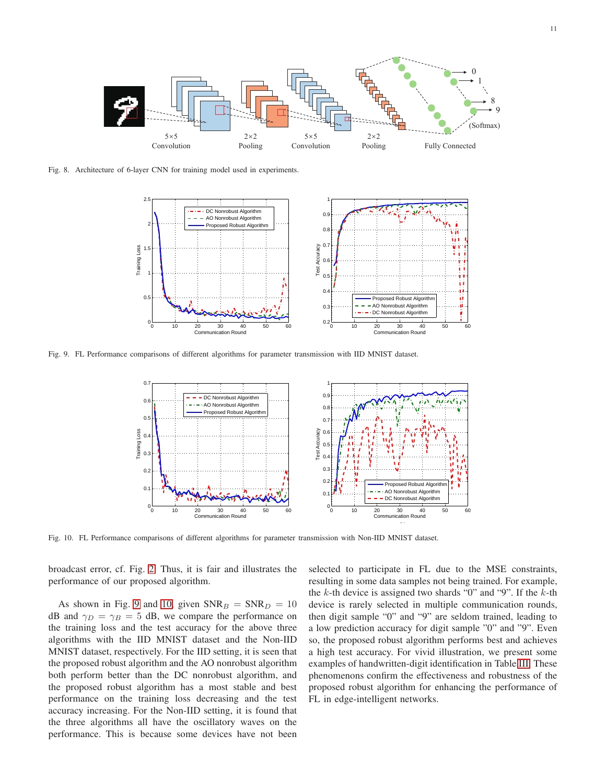

<span id="page-10-0"></span>Fig. 8. Architecture of 6-layer CNN for training model used in experiments.



<span id="page-10-1"></span>Fig. 9. FL Performance comparisons of different algorithms for parameter transmission with IID MNIST dataset.



<span id="page-10-2"></span>Fig. 10. FL Performance comparisons of different algorithms for parameter transmission with Non-IID MNIST dataset.

broadcast error, cf. Fig. [2.](#page-3-2) Thus, it is fair and illustrates the performance of our proposed algorithm.

As shown in Fig. [9](#page-10-1) and [10,](#page-10-2) given  $SNR_B = SNR_D = 10$ dB and  $\gamma_D = \gamma_B = 5$  dB, we compare the performance on the training loss and the test accuracy for the above three algorithms with the IID MNIST dataset and the Non-IID MNIST dataset, respectively. For the IID setting, it is seen that the proposed robust algorithm and the AO nonrobust algorithm both perform better than the DC nonrobust algorithm, and the proposed robust algorithm has a most stable and best performance on the training loss decreasing and the test accuracy increasing. For the Non-IID setting, it is found that the three algorithms all have the oscillatory waves on the performance. This is because some devices have not been

selected to participate in FL due to the MSE constraints, resulting in some data samples not being trained. For example, the  $k$ -th device is assigned two shards "0" and "9". If the  $k$ -th device is rarely selected in multiple communication rounds, then digit sample "0" and "9" are seldom trained, leading to a low prediction accuracy for digit sample "0" and "9". Even so, the proposed robust algorithm performs best and achieves a high test accuracy. For vivid illustration, we present some examples of handwritten-digit identification in Table [III.](#page-11-12) These phenomenons confirm the effectiveness and robustness of the proposed robust algorithm for enhancing the performance of FL in edge-intelligent networks.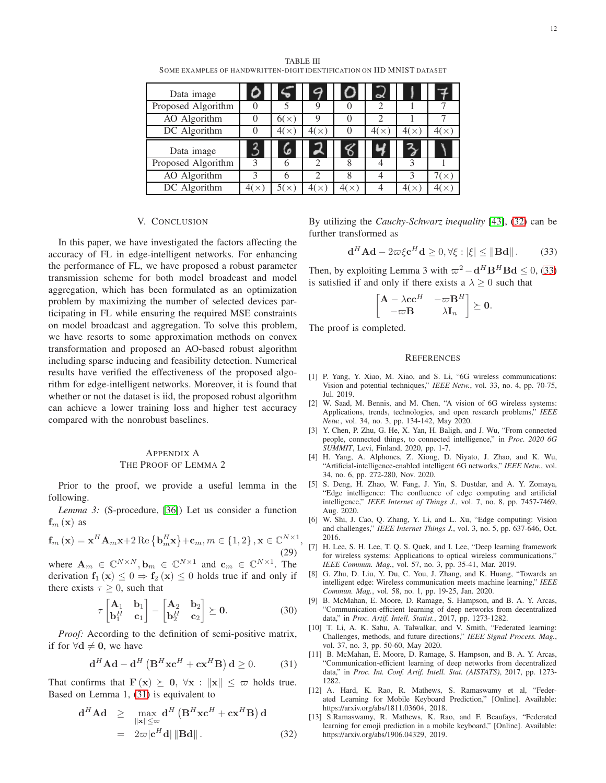TABLE III SOME EXAMPLES OF HANDWRITTEN-DIGIT IDENTIFICATION ON IID MNIST DATASET

<span id="page-11-12"></span>

| Data image         |               |      |      |   | $\alpha$       |      |             |
|--------------------|---------------|------|------|---|----------------|------|-------------|
| Proposed Algorithm | $\theta$      |      |      |   |                |      |             |
| AO Algorithm       | $\theta$      | 6(x) | Q    |   |                |      |             |
| DC Algorithm       |               | 4(x) | 4(x) |   | 4(<br>$\times$ | 4(x) |             |
|                    |               |      |      |   |                |      |             |
| Data image         | 2             | 6    |      |   |                |      |             |
| Proposed Algorithm | $\mathcal{R}$ |      |      | 8 |                |      |             |
| AO Algorithm       |               | h    |      | 8 |                |      | 7( $\times$ |

#### V. CONCLUSION

In this paper, we have investigated the factors affecting the accuracy of FL in edge-intelligent networks. For enhancing the performance of FL, we have proposed a robust parameter transmission scheme for both model broadcast and model aggregation, which has been formulated as an optimization problem by maximizing the number of selected devices participating in FL while ensuring the required MSE constraints on model broadcast and aggregation. To solve this problem, we have resorts to some approximation methods on convex transformation and proposed an AO-based robust algorithm including sparse inducing and feasibility detection. Numerical results have verified the effectiveness of the proposed algorithm for edge-intelligent networks. Moreover, it is found that whether or not the dataset is iid, the proposed robust algorithm can achieve a lower training loss and higher test accuracy compared with the nonrobust baselines.

# APPENDIX A THE PROOF OF LEMMA 2

Prior to the proof, we provide a useful lemma in the following.

*Lemma 3:* (S-procedure, [\[36\]](#page-12-19)) Let us consider a function  $f_m(x)$  as

$$
\mathbf{f}_{m}\left(\mathbf{x}\right) = \mathbf{x}^{H}\mathbf{A}_{m}\mathbf{x} + 2\operatorname{Re}\left\{\mathbf{b}_{m}^{H}\mathbf{x}\right\} + \mathbf{c}_{m}, m \in \{1, 2\}, \mathbf{x} \in \mathbb{C}^{N \times 1},\tag{29}
$$

where  $\mathbf{A}_m \in \mathbb{C}^{N \times N}, \mathbf{b}_m \in \mathbb{C}^{N \times 1}$  and  $\mathbf{c}_m \in \mathbb{C}^{N \times 1}$ . The derivation  $f_1(x) \leq 0 \Rightarrow f_2(x) \leq 0$  holds true if and only if there exists  $\tau \geq 0$ , such that

$$
\tau \begin{bmatrix} \mathbf{A}_1 & \mathbf{b}_1 \\ \mathbf{b}_1^H & \mathbf{c}_1 \end{bmatrix} - \begin{bmatrix} \mathbf{A}_2 & \mathbf{b}_2 \\ \mathbf{b}_2^H & \mathbf{c}_2 \end{bmatrix} \succeq \mathbf{0}.
$$
 (30)

*Proof:* According to the definition of semi-positive matrix, if for  $\forall d \neq 0$ , we have

<span id="page-11-13"></span>
$$
\mathbf{d}^{H} \mathbf{A} \mathbf{d} - \mathbf{d}^{H} \left( \mathbf{B}^{H} \mathbf{x} \mathbf{c}^{H} + \mathbf{c} \mathbf{x}^{H} \mathbf{B} \right) \mathbf{d} \ge 0. \quad (31)
$$

That confirms that  $\mathbf{F}(\mathbf{x}) \succeq \mathbf{0}, \forall \mathbf{x} : \|\mathbf{x}\| \leq \varpi$  holds true. Based on Lemma 1, [\(31\)](#page-11-13) is equivalent to

<span id="page-11-14"></span>
$$
\mathbf{d}^{H} \mathbf{A} \mathbf{d} \geq \max_{\|\mathbf{x}\| \leq \varpi} \mathbf{d}^{H} \left( \mathbf{B}^{H} \mathbf{x} \mathbf{c}^{H} + \mathbf{c} \mathbf{x}^{H} \mathbf{B} \right) \mathbf{d}
$$

$$
= 2\varpi |\mathbf{c}^{H} \mathbf{d}| \|\mathbf{B} \mathbf{d}\|.
$$
(32)

By utilizing the *Cauchy-Schwarz inequality* [\[43\]](#page-12-27), [\(32\)](#page-11-14) can be further transformed as

<span id="page-11-15"></span>
$$
\mathbf{d}^H \mathbf{A} \mathbf{d} - 2\varpi \xi \mathbf{c}^H \mathbf{d} \ge 0, \forall \xi : |\xi| \le \|\mathbf{B} \mathbf{d}\|.
$$
 (33)

Then, by exploiting Lemma 3 with  $\varpi^2 - \mathbf{d}^H \mathbf{B}^H \mathbf{B} \mathbf{d} \leq 0$ , [\(33\)](#page-11-15) is satisfied if and only if there exists a  $\lambda \geq 0$  such that

$$
\begin{bmatrix} \mathbf{A} - \lambda \mathbf{c} \mathbf{c}^H & -\varpi \mathbf{B}^H \\ -\varpi \mathbf{B} & \lambda \mathbf{I}_n \end{bmatrix} \succeq \mathbf{0}.
$$

The proof is completed.

#### **REFERENCES**

- <span id="page-11-0"></span>[1] P. Yang, Y. Xiao, M. Xiao, and S. Li, "6G wireless communications: Vision and potential techniques," *IEEE Netw.*, vol. 33, no. 4, pp. 70-75, Jul. 2019.
- [2] W. Saad, M. Bennis, and M. Chen, "A vision of 6G wireless systems: Applications, trends, technologies, and open research problems," *IEEE Netw.*, vol. 34, no. 3, pp. 134-142, May 2020.
- <span id="page-11-1"></span>[3] Y. Chen, P. Zhu, G. He, X. Yan, H. Baligh, and J. Wu, "From connected people, connected things, to connected intelligence," in *Proc. 2020 6G SUMMIT*, Levi, Finland, 2020, pp. 1-7.
- <span id="page-11-2"></span>[4] H. Yang, A. Alphones, Z. Xiong, D. Niyato, J. Zhao, and K. Wu, "Artificial-intelligence-enabled intelligent 6G networks," *IEEE Netw.*, vol. 34, no. 6, pp. 272-280, Nov. 2020.
- <span id="page-11-3"></span>[5] S. Deng, H. Zhao, W. Fang, J. Yin, S. Dustdar, and A. Y. Zomaya, "Edge intelligence: The confluence of edge computing and artificial intelligence," *IEEE Internet of Things J.*, vol. 7, no. 8, pp. 7457-7469, Aug. 2020.
- <span id="page-11-4"></span>[6] W. Shi, J. Cao, Q. Zhang, Y. Li, and L. Xu, "Edge computing: Vision and challenges," *IEEE Internet Things J.*, vol. 3, no. 5, pp. 637-646, Oct. 2016.
- <span id="page-11-5"></span>[7] H. Lee, S. H. Lee, T. Q. S. Quek, and I. Lee, "Deep learning framework for wireless systems: Applications to optical wireless communications," *IEEE Commun. Mag.*, vol. 57, no. 3, pp. 35-41, Mar. 2019.
- <span id="page-11-6"></span>[8] G. Zhu, D. Liu, Y. Du, C. You, J. Zhang, and K. Huang, "Towards an intelligent edge: Wireless communication meets machine learning," *IEEE Commun. Mag.*, vol. 58, no. 1, pp. 19-25, Jan. 2020.
- <span id="page-11-7"></span>[9] B. McMahan, E. Moore, D. Ramage, S. Hampson, and B. A. Y. Arcas, "Communication-efficient learning of deep networks from decentralized data," in *Proc. Artif. Intell. Statist.*, 2017, pp. 1273-1282.
- <span id="page-11-8"></span>[10] T. Li, A. K. Sahu, A. Talwalkar, and V. Smith, "Federated learning: Challenges, methods, and future directions," *IEEE Signal Process. Mag.*, vol. 37, no. 3, pp. 50-60, May 2020.
- <span id="page-11-9"></span>[11] B. McMahan, E. Moore, D. Ramage, S. Hampson, and B. A. Y. Arcas, "Communication-efficient learning of deep networks from decentralized data," in *Proc. Int. Conf. Artif. Intell. Stat. (AISTATS)*, 2017, pp. 1273- 1282.
- <span id="page-11-10"></span>[12] A. Hard, K. Rao, R. Mathews, S. Ramaswamy et al, "Federated Learning for Mobile Keyboard Prediction," [Online]. Available: https://arxiv.org/abs/1811.03604, 2018.
- <span id="page-11-11"></span>[13] S.Ramaswamy, R. Mathews, K. Rao, and F. Beaufays, "Federated learning for emoji prediction in a mobile keyboard," [Online]. Available: https://arxiv.org/abs/1906.04329, 2019.